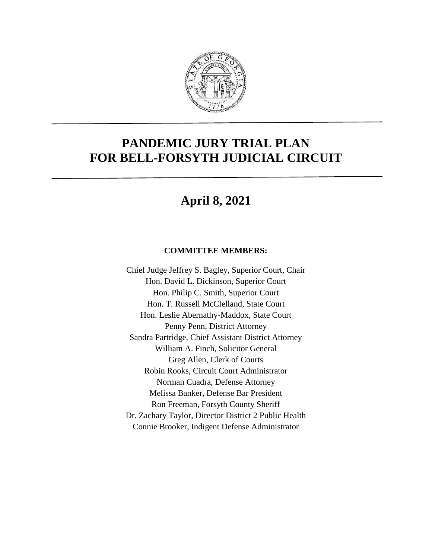

# **PANDEMIC JURY TRIAL PLAN FOR BELL-FORSYTH JUDICIAL CIRCUIT**

# **April 8, 2021**

#### **COMMITTEE MEMBERS:**

Chief Judge Jeffrey S. Bagley, Superior Court, Chair Hon. David L. Dickinson, Superior Court Hon. Philip C. Smith, Superior Court Hon. T. Russell McClelland, State Court Hon. Leslie Abernathy-Maddox, State Court Penny Penn, District Attorney Sandra Partridge, Chief Assistant District Attorney William A. Finch, Solicitor General Greg Allen, Clerk of Courts Robin Rooks, Circuit Court Administrator Norman Cuadra, Defense Attorney Melissa Banker, Defense Bar President Ron Freeman, Forsyth County Sheriff Dr. Zachary Taylor, Director District 2 Public Health Connie Brooker, Indigent Defense Administrator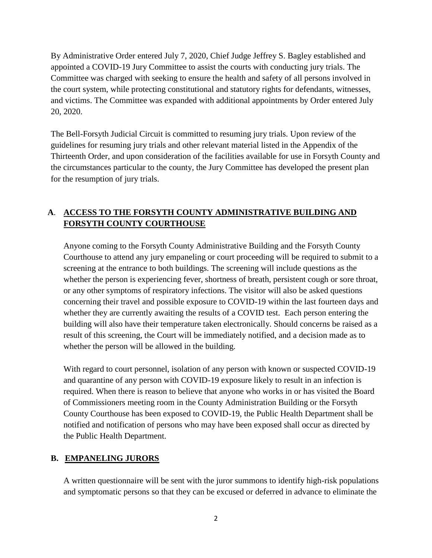By Administrative Order entered July 7, 2020, Chief Judge Jeffrey S. Bagley established and appointed a COVID-19 Jury Committee to assist the courts with conducting jury trials. The Committee was charged with seeking to ensure the health and safety of all persons involved in the court system, while protecting constitutional and statutory rights for defendants, witnesses, and victims. The Committee was expanded with additional appointments by Order entered July 20, 2020.

The Bell-Forsyth Judicial Circuit is committed to resuming jury trials. Upon review of the guidelines for resuming jury trials and other relevant material listed in the Appendix of the Thirteenth Order, and upon consideration of the facilities available for use in Forsyth County and the circumstances particular to the county, the Jury Committee has developed the present plan for the resumption of jury trials.

## **A**. **ACCESS TO THE FORSYTH COUNTY ADMINISTRATIVE BUILDING AND FORSYTH COUNTY COURTHOUSE**

Anyone coming to the Forsyth County Administrative Building and the Forsyth County Courthouse to attend any jury empaneling or court proceeding will be required to submit to a screening at the entrance to both buildings. The screening will include questions as the whether the person is experiencing fever, shortness of breath, persistent cough or sore throat, or any other symptoms of respiratory infections. The visitor will also be asked questions concerning their travel and possible exposure to COVID-19 within the last fourteen days and whether they are currently awaiting the results of a COVID test. Each person entering the building will also have their temperature taken electronically. Should concerns be raised as a result of this screening, the Court will be immediately notified, and a decision made as to whether the person will be allowed in the building.

With regard to court personnel, isolation of any person with known or suspected COVID-19 and quarantine of any person with COVID-19 exposure likely to result in an infection is required. When there is reason to believe that anyone who works in or has visited the Board of Commissioners meeting room in the County Administration Building or the Forsyth County Courthouse has been exposed to COVID-19, the Public Health Department shall be notified and notification of persons who may have been exposed shall occur as directed by the Public Health Department.

## **B. EMPANELING JURORS**

A written questionnaire will be sent with the juror summons to identify high-risk populations and symptomatic persons so that they can be excused or deferred in advance to eliminate the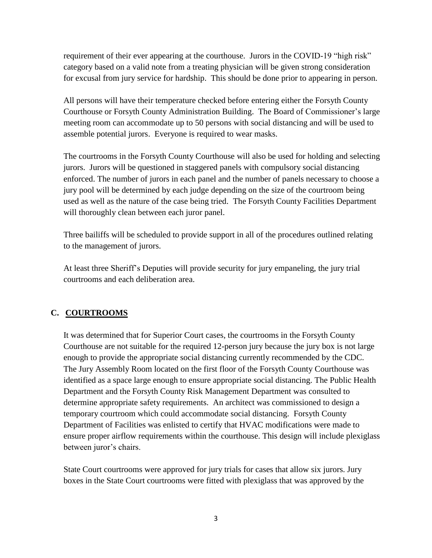requirement of their ever appearing at the courthouse. Jurors in the COVID-19 "high risk" category based on a valid note from a treating physician will be given strong consideration for excusal from jury service for hardship. This should be done prior to appearing in person.

All persons will have their temperature checked before entering either the Forsyth County Courthouse or Forsyth County Administration Building. The Board of Commissioner's large meeting room can accommodate up to 50 persons with social distancing and will be used to assemble potential jurors. Everyone is required to wear masks.

The courtrooms in the Forsyth County Courthouse will also be used for holding and selecting jurors. Jurors will be questioned in staggered panels with compulsory social distancing enforced. The number of jurors in each panel and the number of panels necessary to choose a jury pool will be determined by each judge depending on the size of the courtroom being used as well as the nature of the case being tried. The Forsyth County Facilities Department will thoroughly clean between each juror panel.

Three bailiffs will be scheduled to provide support in all of the procedures outlined relating to the management of jurors.

At least three Sheriff's Deputies will provide security for jury empaneling, the jury trial courtrooms and each deliberation area.

## **C. COURTROOMS**

It was determined that for Superior Court cases, the courtrooms in the Forsyth County Courthouse are not suitable for the required 12-person jury because the jury box is not large enough to provide the appropriate social distancing currently recommended by the CDC. The Jury Assembly Room located on the first floor of the Forsyth County Courthouse was identified as a space large enough to ensure appropriate social distancing. The Public Health Department and the Forsyth County Risk Management Department was consulted to determine appropriate safety requirements. An architect was commissioned to design a temporary courtroom which could accommodate social distancing. Forsyth County Department of Facilities was enlisted to certify that HVAC modifications were made to ensure proper airflow requirements within the courthouse. This design will include plexiglass between juror's chairs.

State Court courtrooms were approved for jury trials for cases that allow six jurors. Jury boxes in the State Court courtrooms were fitted with plexiglass that was approved by the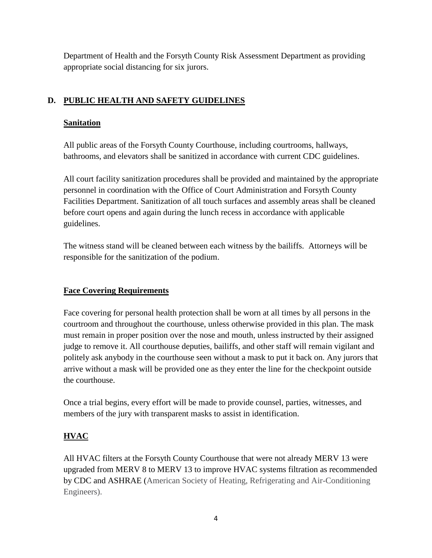Department of Health and the Forsyth County Risk Assessment Department as providing appropriate social distancing for six jurors.

# **D. PUBLIC HEALTH AND SAFETY GUIDELINES**

## **Sanitation**

All public areas of the Forsyth County Courthouse, including courtrooms, hallways, bathrooms, and elevators shall be sanitized in accordance with current CDC guidelines.

All court facility sanitization procedures shall be provided and maintained by the appropriate personnel in coordination with the Office of Court Administration and Forsyth County Facilities Department. Sanitization of all touch surfaces and assembly areas shall be cleaned before court opens and again during the lunch recess in accordance with applicable guidelines.

The witness stand will be cleaned between each witness by the bailiffs. Attorneys will be responsible for the sanitization of the podium.

# **Face Covering Requirements**

Face covering for personal health protection shall be worn at all times by all persons in the courtroom and throughout the courthouse, unless otherwise provided in this plan. The mask must remain in proper position over the nose and mouth, unless instructed by their assigned judge to remove it. All courthouse deputies, bailiffs, and other staff will remain vigilant and politely ask anybody in the courthouse seen without a mask to put it back on. Any jurors that arrive without a mask will be provided one as they enter the line for the checkpoint outside the courthouse.

Once a trial begins, every effort will be made to provide counsel, parties, witnesses, and members of the jury with transparent masks to assist in identification.

# **HVAC**

All HVAC filters at the Forsyth County Courthouse that were not already MERV 13 were upgraded from MERV 8 to MERV 13 to improve HVAC systems filtration as recommended by CDC and ASHRAE (American Society of Heating, Refrigerating and Air-Conditioning Engineers).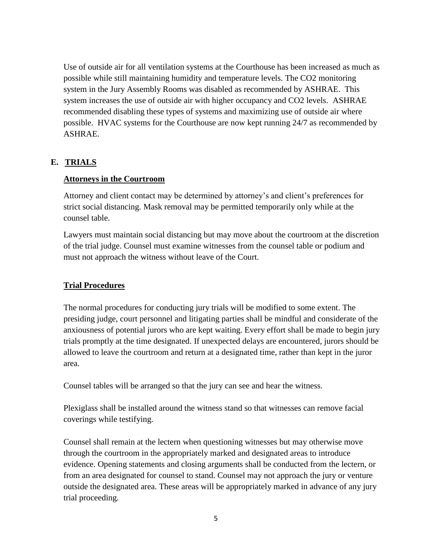Use of outside air for all ventilation systems at the Courthouse has been increased as much as possible while still maintaining humidity and temperature levels. The CO2 monitoring system in the Jury Assembly Rooms was disabled as recommended by ASHRAE. This system increases the use of outside air with higher occupancy and CO2 levels. ASHRAE recommended disabling these types of systems and maximizing use of outside air where possible. HVAC systems for the Courthouse are now kept running 24/7 as recommended by ASHRAE.

#### **E. TRIALS**

#### **Attorneys in the Courtroom**

Attorney and client contact may be determined by attorney's and client's preferences for strict social distancing. Mask removal may be permitted temporarily only while at the counsel table.

Lawyers must maintain social distancing but may move about the courtroom at the discretion of the trial judge. Counsel must examine witnesses from the counsel table or podium and must not approach the witness without leave of the Court.

#### **Trial Procedures**

The normal procedures for conducting jury trials will be modified to some extent. The presiding judge, court personnel and litigating parties shall be mindful and considerate of the anxiousness of potential jurors who are kept waiting. Every effort shall be made to begin jury trials promptly at the time designated. If unexpected delays are encountered, jurors should be allowed to leave the courtroom and return at a designated time, rather than kept in the juror area.

Counsel tables will be arranged so that the jury can see and hear the witness.

Plexiglass shall be installed around the witness stand so that witnesses can remove facial coverings while testifying.

Counsel shall remain at the lectern when questioning witnesses but may otherwise move through the courtroom in the appropriately marked and designated areas to introduce evidence. Opening statements and closing arguments shall be conducted from the lectern, or from an area designated for counsel to stand. Counsel may not approach the jury or venture outside the designated area. These areas will be appropriately marked in advance of any jury trial proceeding.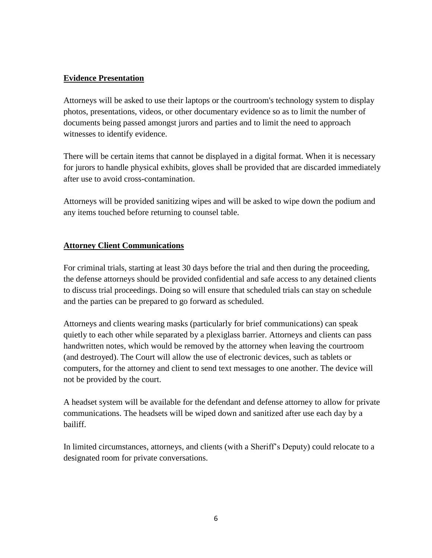#### **Evidence Presentation**

Attorneys will be asked to use their laptops or the courtroom's technology system to display photos, presentations, videos, or other documentary evidence so as to limit the number of documents being passed amongst jurors and parties and to limit the need to approach witnesses to identify evidence.

There will be certain items that cannot be displayed in a digital format. When it is necessary for jurors to handle physical exhibits, gloves shall be provided that are discarded immediately after use to avoid cross-contamination.

Attorneys will be provided sanitizing wipes and will be asked to wipe down the podium and any items touched before returning to counsel table.

#### **Attorney Client Communications**

For criminal trials, starting at least 30 days before the trial and then during the proceeding, the defense attorneys should be provided confidential and safe access to any detained clients to discuss trial proceedings. Doing so will ensure that scheduled trials can stay on schedule and the parties can be prepared to go forward as scheduled.

Attorneys and clients wearing masks (particularly for brief communications) can speak quietly to each other while separated by a plexiglass barrier. Attorneys and clients can pass handwritten notes, which would be removed by the attorney when leaving the courtroom (and destroyed). The Court will allow the use of electronic devices, such as tablets or computers, for the attorney and client to send text messages to one another. The device will not be provided by the court.

A headset system will be available for the defendant and defense attorney to allow for private communications. The headsets will be wiped down and sanitized after use each day by a bailiff.

In limited circumstances, attorneys, and clients (with a Sheriff's Deputy) could relocate to a designated room for private conversations.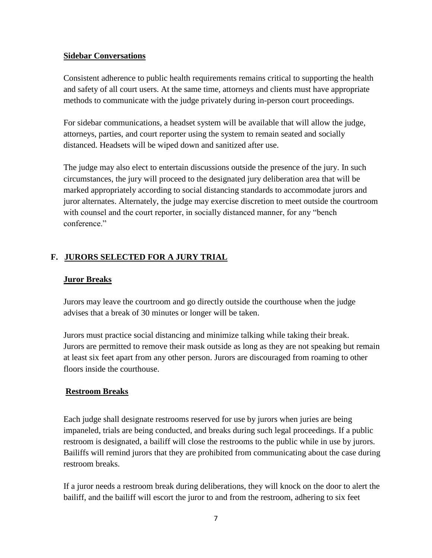#### **Sidebar Conversations**

Consistent adherence to public health requirements remains critical to supporting the health and safety of all court users. At the same time, attorneys and clients must have appropriate methods to communicate with the judge privately during in-person court proceedings.

For sidebar communications, a headset system will be available that will allow the judge, attorneys, parties, and court reporter using the system to remain seated and socially distanced. Headsets will be wiped down and sanitized after use.

The judge may also elect to entertain discussions outside the presence of the jury. In such circumstances, the jury will proceed to the designated jury deliberation area that will be marked appropriately according to social distancing standards to accommodate jurors and juror alternates. Alternately, the judge may exercise discretion to meet outside the courtroom with counsel and the court reporter, in socially distanced manner, for any "bench conference."

#### **F. JURORS SELECTED FOR A JURY TRIAL**

#### **Juror Breaks**

Jurors may leave the courtroom and go directly outside the courthouse when the judge advises that a break of 30 minutes or longer will be taken.

Jurors must practice social distancing and minimize talking while taking their break. Jurors are permitted to remove their mask outside as long as they are not speaking but remain at least six feet apart from any other person. Jurors are discouraged from roaming to other floors inside the courthouse.

#### **Restroom Breaks**

Each judge shall designate restrooms reserved for use by jurors when juries are being impaneled, trials are being conducted, and breaks during such legal proceedings. If a public restroom is designated, a bailiff will close the restrooms to the public while in use by jurors. Bailiffs will remind jurors that they are prohibited from communicating about the case during restroom breaks.

If a juror needs a restroom break during deliberations, they will knock on the door to alert the bailiff, and the bailiff will escort the juror to and from the restroom, adhering to six feet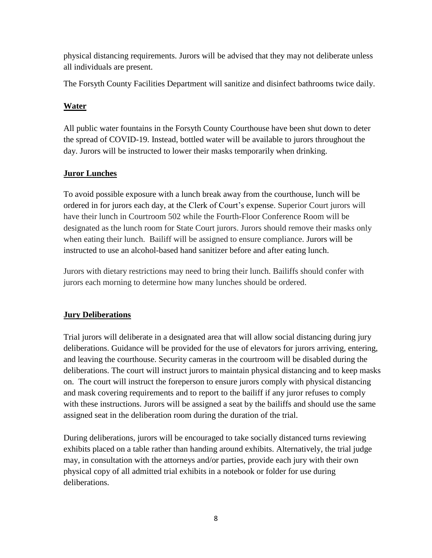physical distancing requirements. Jurors will be advised that they may not deliberate unless all individuals are present.

The Forsyth County Facilities Department will sanitize and disinfect bathrooms twice daily.

## **Water**

All public water fountains in the Forsyth County Courthouse have been shut down to deter the spread of COVID-19. Instead, bottled water will be available to jurors throughout the day. Jurors will be instructed to lower their masks temporarily when drinking.

## **Juror Lunches**

To avoid possible exposure with a lunch break away from the courthouse, lunch will be ordered in for jurors each day, at the Clerk of Court's expense. Superior Court jurors will have their lunch in Courtroom 502 while the Fourth-Floor Conference Room will be designated as the lunch room for State Court jurors. Jurors should remove their masks only when eating their lunch. Bailiff will be assigned to ensure compliance. Jurors will be instructed to use an alcohol-based hand sanitizer before and after eating lunch.

Jurors with dietary restrictions may need to bring their lunch. Bailiffs should confer with jurors each morning to determine how many lunches should be ordered.

# **Jury Deliberations**

Trial jurors will deliberate in a designated area that will allow social distancing during jury deliberations. Guidance will be provided for the use of elevators for jurors arriving, entering, and leaving the courthouse. Security cameras in the courtroom will be disabled during the deliberations. The court will instruct jurors to maintain physical distancing and to keep masks on. The court will instruct the foreperson to ensure jurors comply with physical distancing and mask covering requirements and to report to the bailiff if any juror refuses to comply with these instructions. Jurors will be assigned a seat by the bailiffs and should use the same assigned seat in the deliberation room during the duration of the trial.

During deliberations, jurors will be encouraged to take socially distanced turns reviewing exhibits placed on a table rather than handing around exhibits. Alternatively, the trial judge may, in consultation with the attorneys and/or parties, provide each jury with their own physical copy of all admitted trial exhibits in a notebook or folder for use during deliberations.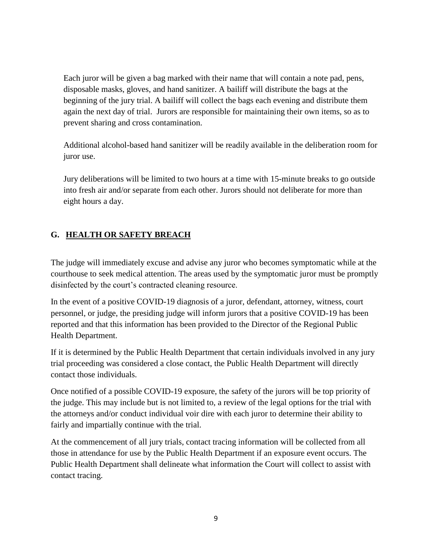Each juror will be given a bag marked with their name that will contain a note pad, pens, disposable masks, gloves, and hand sanitizer. A bailiff will distribute the bags at the beginning of the jury trial. A bailiff will collect the bags each evening and distribute them again the next day of trial. Jurors are responsible for maintaining their own items, so as to prevent sharing and cross contamination.

Additional alcohol-based hand sanitizer will be readily available in the deliberation room for juror use.

Jury deliberations will be limited to two hours at a time with 15-minute breaks to go outside into fresh air and/or separate from each other. Jurors should not deliberate for more than eight hours a day.

# **G. HEALTH OR SAFETY BREACH**

The judge will immediately excuse and advise any juror who becomes symptomatic while at the courthouse to seek medical attention. The areas used by the symptomatic juror must be promptly disinfected by the court's contracted cleaning resource.

In the event of a positive COVID-19 diagnosis of a juror, defendant, attorney, witness, court personnel, or judge, the presiding judge will inform jurors that a positive COVID-19 has been reported and that this information has been provided to the Director of the Regional Public Health Department.

If it is determined by the Public Health Department that certain individuals involved in any jury trial proceeding was considered a close contact, the Public Health Department will directly contact those individuals.

Once notified of a possible COVID-19 exposure, the safety of the jurors will be top priority of the judge. This may include but is not limited to, a review of the legal options for the trial with the attorneys and/or conduct individual voir dire with each juror to determine their ability to fairly and impartially continue with the trial.

At the commencement of all jury trials, contact tracing information will be collected from all those in attendance for use by the Public Health Department if an exposure event occurs. The Public Health Department shall delineate what information the Court will collect to assist with contact tracing.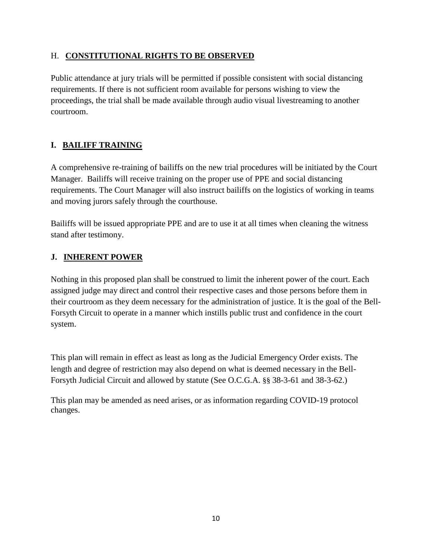#### H. **CONSTITUTIONAL RIGHTS TO BE OBSERVED**

Public attendance at jury trials will be permitted if possible consistent with social distancing requirements. If there is not sufficient room available for persons wishing to view the proceedings, the trial shall be made available through audio visual livestreaming to another courtroom.

# **I. BAILIFF TRAINING**

A comprehensive re-training of bailiffs on the new trial procedures will be initiated by the Court Manager. Bailiffs will receive training on the proper use of PPE and social distancing requirements. The Court Manager will also instruct bailiffs on the logistics of working in teams and moving jurors safely through the courthouse.

Bailiffs will be issued appropriate PPE and are to use it at all times when cleaning the witness stand after testimony.

## **J. INHERENT POWER**

Nothing in this proposed plan shall be construed to limit the inherent power of the court. Each assigned judge may direct and control their respective cases and those persons before them in their courtroom as they deem necessary for the administration of justice. It is the goal of the Bell-Forsyth Circuit to operate in a manner which instills public trust and confidence in the court system.

This plan will remain in effect as least as long as the Judicial Emergency Order exists. The length and degree of restriction may also depend on what is deemed necessary in the Bell-Forsyth Judicial Circuit and allowed by statute (See O.C.G.A. §§ 38-3-61 and 38-3-62.)

This plan may be amended as need arises, or as information regarding COVID-19 protocol changes.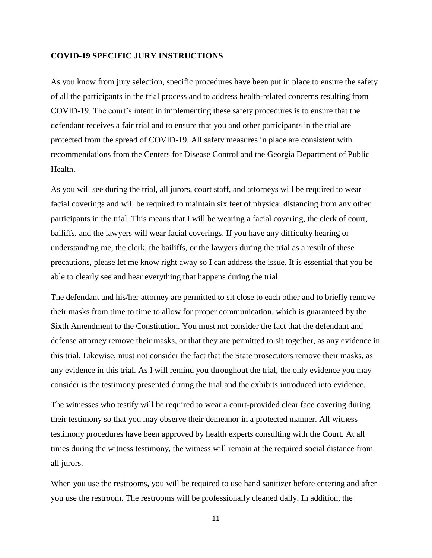#### **COVID-19 SPECIFIC JURY INSTRUCTIONS**

As you know from jury selection, specific procedures have been put in place to ensure the safety of all the participants in the trial process and to address health-related concerns resulting from COVID-19. The court's intent in implementing these safety procedures is to ensure that the defendant receives a fair trial and to ensure that you and other participants in the trial are protected from the spread of COVID-19. All safety measures in place are consistent with recommendations from the Centers for Disease Control and the Georgia Department of Public Health.

As you will see during the trial, all jurors, court staff, and attorneys will be required to wear facial coverings and will be required to maintain six feet of physical distancing from any other participants in the trial. This means that I will be wearing a facial covering, the clerk of court, bailiffs, and the lawyers will wear facial coverings. If you have any difficulty hearing or understanding me, the clerk, the bailiffs, or the lawyers during the trial as a result of these precautions, please let me know right away so I can address the issue. It is essential that you be able to clearly see and hear everything that happens during the trial.

The defendant and his/her attorney are permitted to sit close to each other and to briefly remove their masks from time to time to allow for proper communication, which is guaranteed by the Sixth Amendment to the Constitution. You must not consider the fact that the defendant and defense attorney remove their masks, or that they are permitted to sit together, as any evidence in this trial. Likewise, must not consider the fact that the State prosecutors remove their masks, as any evidence in this trial. As I will remind you throughout the trial, the only evidence you may consider is the testimony presented during the trial and the exhibits introduced into evidence.

The witnesses who testify will be required to wear a court-provided clear face covering during their testimony so that you may observe their demeanor in a protected manner. All witness testimony procedures have been approved by health experts consulting with the Court. At all times during the witness testimony, the witness will remain at the required social distance from all jurors.

When you use the restrooms, you will be required to use hand sanitizer before entering and after you use the restroom. The restrooms will be professionally cleaned daily. In addition, the

11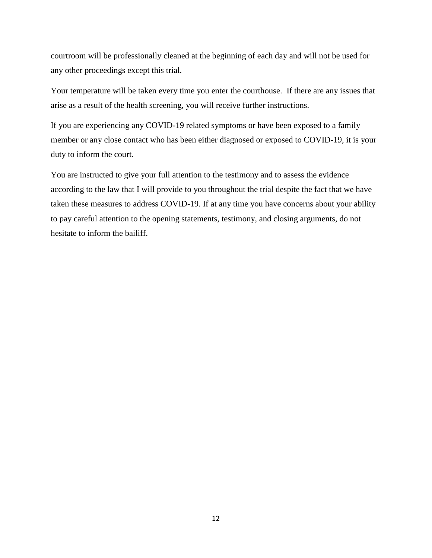courtroom will be professionally cleaned at the beginning of each day and will not be used for any other proceedings except this trial.

Your temperature will be taken every time you enter the courthouse. If there are any issues that arise as a result of the health screening, you will receive further instructions.

If you are experiencing any COVID-19 related symptoms or have been exposed to a family member or any close contact who has been either diagnosed or exposed to COVID-19, it is your duty to inform the court.

You are instructed to give your full attention to the testimony and to assess the evidence according to the law that I will provide to you throughout the trial despite the fact that we have taken these measures to address COVID-19. If at any time you have concerns about your ability to pay careful attention to the opening statements, testimony, and closing arguments, do not hesitate to inform the bailiff.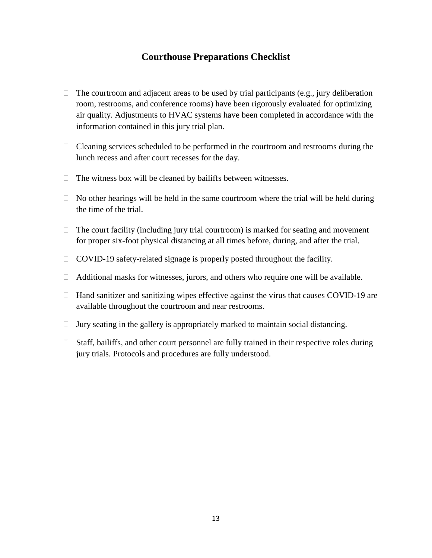## **Courthouse Preparations Checklist**

- $\Box$  The courtroom and adjacent areas to be used by trial participants (e.g., jury deliberation room, restrooms, and conference rooms) have been rigorously evaluated for optimizing air quality. Adjustments to HVAC systems have been completed in accordance with the information contained in this jury trial plan.
- $\Box$  Cleaning services scheduled to be performed in the courtroom and restrooms during the lunch recess and after court recesses for the day.
- $\Box$  The witness box will be cleaned by bailiffs between witnesses.
- $\Box$  No other hearings will be held in the same courtroom where the trial will be held during the time of the trial.
- $\Box$  The court facility (including jury trial courtroom) is marked for seating and movement for proper six-foot physical distancing at all times before, during, and after the trial.
- $\Box$  COVID-19 safety-related signage is properly posted throughout the facility.
- $\Box$  Additional masks for witnesses, jurors, and others who require one will be available.
- $\Box$  Hand sanitizer and sanitizing wipes effective against the virus that causes COVID-19 are available throughout the courtroom and near restrooms.
- $\Box$  Jury seating in the gallery is appropriately marked to maintain social distancing.
- $\Box$  Staff, bailiffs, and other court personnel are fully trained in their respective roles during jury trials. Protocols and procedures are fully understood.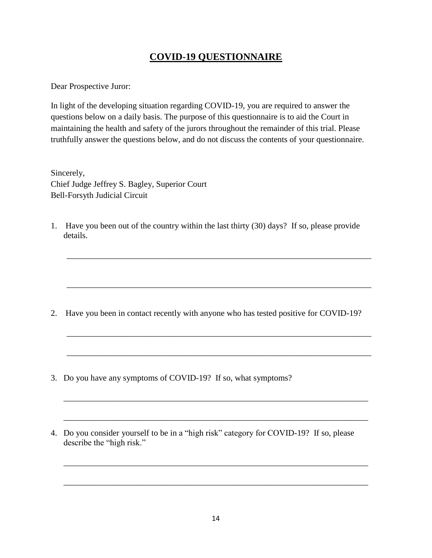# **COVID-19 QUESTIONNAIRE**

Dear Prospective Juror:

In light of the developing situation regarding COVID-19, you are required to answer the questions below on a daily basis. The purpose of this questionnaire is to aid the Court in maintaining the health and safety of the jurors throughout the remainder of this trial. Please truthfully answer the questions below, and do not discuss the contents of your questionnaire.

Sincerely, Chief Judge Jeffrey S. Bagley, Superior Court Bell-Forsyth Judicial Circuit

1. Have you been out of the country within the last thirty (30) days? If so, please provide details.

\_\_\_\_\_\_\_\_\_\_\_\_\_\_\_\_\_\_\_\_\_\_\_\_\_\_\_\_\_\_\_\_\_\_\_\_\_\_\_\_\_\_\_\_\_\_\_\_\_\_\_\_\_\_\_\_\_\_\_\_\_\_\_\_\_\_\_\_\_\_\_\_

\_\_\_\_\_\_\_\_\_\_\_\_\_\_\_\_\_\_\_\_\_\_\_\_\_\_\_\_\_\_\_\_\_\_\_\_\_\_\_\_\_\_\_\_\_\_\_\_\_\_\_\_\_\_\_\_\_\_\_\_\_\_\_\_\_\_\_\_\_\_\_\_

\_\_\_\_\_\_\_\_\_\_\_\_\_\_\_\_\_\_\_\_\_\_\_\_\_\_\_\_\_\_\_\_\_\_\_\_\_\_\_\_\_\_\_\_\_\_\_\_\_\_\_\_\_\_\_\_\_\_\_\_\_\_\_\_\_\_\_\_\_\_\_\_

\_\_\_\_\_\_\_\_\_\_\_\_\_\_\_\_\_\_\_\_\_\_\_\_\_\_\_\_\_\_\_\_\_\_\_\_\_\_\_\_\_\_\_\_\_\_\_\_\_\_\_\_\_\_\_\_\_\_\_\_\_\_\_\_\_\_\_\_\_\_\_\_

\_\_\_\_\_\_\_\_\_\_\_\_\_\_\_\_\_\_\_\_\_\_\_\_\_\_\_\_\_\_\_\_\_\_\_\_\_\_\_\_\_\_\_\_\_\_\_\_\_\_\_\_\_\_\_\_\_\_\_\_\_\_\_\_\_\_\_\_\_\_\_\_

\_\_\_\_\_\_\_\_\_\_\_\_\_\_\_\_\_\_\_\_\_\_\_\_\_\_\_\_\_\_\_\_\_\_\_\_\_\_\_\_\_\_\_\_\_\_\_\_\_\_\_\_\_\_\_\_\_\_\_\_\_\_\_\_\_\_\_\_\_\_\_\_

\_\_\_\_\_\_\_\_\_\_\_\_\_\_\_\_\_\_\_\_\_\_\_\_\_\_\_\_\_\_\_\_\_\_\_\_\_\_\_\_\_\_\_\_\_\_\_\_\_\_\_\_\_\_\_\_\_\_\_\_\_\_\_\_\_\_\_\_\_\_\_\_

\_\_\_\_\_\_\_\_\_\_\_\_\_\_\_\_\_\_\_\_\_\_\_\_\_\_\_\_\_\_\_\_\_\_\_\_\_\_\_\_\_\_\_\_\_\_\_\_\_\_\_\_\_\_\_\_\_\_\_\_\_\_\_\_\_\_\_\_\_\_\_\_

- 2. Have you been in contact recently with anyone who has tested positive for COVID-19?
- 3. Do you have any symptoms of COVID-19? If so, what symptoms?
- 4. Do you consider yourself to be in a "high risk" category for COVID-19? If so, please describe the "high risk."